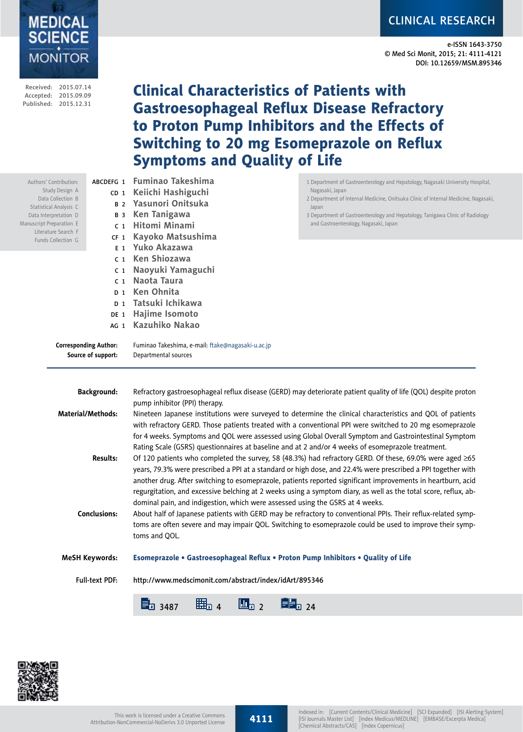# CLINICAL RESEARCH

e-ISSN 1643-3750 © Med Sci Monit, 2015; 21: 4111-4121 DOI: 10.12659/MSM.895346

|                                                                                                                                                                                                                                                                                                                     | Received: 2015.07.14<br>Accepted: 2015.09.09<br>Published: 2015.12.31 |                                        | <b>Clinical Characteristics of Patients with</b><br><b>Gastroesophageal Reflux Disease Refractory</b><br>to Proton Pump Inhibitors and the Effects of<br><b>Switching to 20 mg Esomeprazole on Reflux</b><br><b>Symptoms and Quality of Life</b>                                                               |                                                                                                                                                                                                                                                                                                                                                                                                                                                                                                                                                                                                                                                                                              |  |  |  |  |  |
|---------------------------------------------------------------------------------------------------------------------------------------------------------------------------------------------------------------------------------------------------------------------------------------------------------------------|-----------------------------------------------------------------------|----------------------------------------|----------------------------------------------------------------------------------------------------------------------------------------------------------------------------------------------------------------------------------------------------------------------------------------------------------------|----------------------------------------------------------------------------------------------------------------------------------------------------------------------------------------------------------------------------------------------------------------------------------------------------------------------------------------------------------------------------------------------------------------------------------------------------------------------------------------------------------------------------------------------------------------------------------------------------------------------------------------------------------------------------------------------|--|--|--|--|--|
| ABCDEFG 1<br>Authors' Contribution:<br>Study Design A<br>Data Collection B<br>Statistical Analysis C<br>Data Interpretation D<br>Manuscript Preparation E<br>Literature Search F<br>CF <sub>1</sub><br>Funds Collection G<br>C <sub>1</sub><br>C <sub>1</sub><br><b>Corresponding Author:</b><br>Source of support: |                                                                       | <b>B</b> 3<br>C <sub>1</sub><br>$D_1$  | <b>Fuminao Takeshima</b><br>CD 1 Keiichi Hashiguchi<br>B <sub>2</sub> Yasunori Onitsuka<br>Ken Tanigawa<br>c <sub>1</sub> Hitomi Minami<br>Kayoko Matsushima<br>E <sub>1</sub> Yuko Akazawa<br><b>Ken Shiozawa</b><br>Naoyuki Yamaguchi<br>Naota Taura<br><b>Ken Ohnita</b><br>D <sub>1</sub> Tatsuki Ichikawa | 1 Department of Gastroenterology and Hepatology, Nagasaki University Hospital,<br>Nagasaki, Japan<br>2 Department of Internal Medicine, Onitsuka Clinic of Internal Medicine, Nagasaki,<br>Japan<br>3 Department of Gastroenterology and Hepatology, Tanigawa Clinic of Radiology<br>and Gastroenterology, Nagasaki, Japan                                                                                                                                                                                                                                                                                                                                                                   |  |  |  |  |  |
|                                                                                                                                                                                                                                                                                                                     |                                                                       |                                        | DE 1 Hajime Isomoto<br>AG 1 Kazuhiko Nakao<br>Fuminao Takeshima, e-mail: ftake@nagasaki-u.ac.jp<br>Departmental sources                                                                                                                                                                                        |                                                                                                                                                                                                                                                                                                                                                                                                                                                                                                                                                                                                                                                                                              |  |  |  |  |  |
|                                                                                                                                                                                                                                                                                                                     | <b>Material/Methods:</b>                                              | <b>Background:</b>                     | pump inhibitor (PPI) therapy.<br>Rating Scale (GSRS) questionnaires at baseline and at 2 and/or 4 weeks of esomeprazole treatment.                                                                                                                                                                             | Refractory gastroesophageal reflux disease (GERD) may deteriorate patient quality of life (QOL) despite proton<br>Nineteen Japanese institutions were surveyed to determine the clinical characteristics and QOL of patients<br>with refractory GERD. Those patients treated with a conventional PPI were switched to 20 mg esomeprazole<br>for 4 weeks. Symptoms and QOL were assessed using Global Overall Symptom and Gastrointestinal Symptom                                                                                                                                                                                                                                            |  |  |  |  |  |
|                                                                                                                                                                                                                                                                                                                     |                                                                       | <b>Results:</b><br><b>Conclusions:</b> | dominal pain, and indigestion, which were assessed using the GSRS at 4 weeks.<br>toms and QOL.                                                                                                                                                                                                                 | Of 120 patients who completed the survey, 58 (48.3%) had refractory GERD. Of these, 69.0% were aged $\geq 65$<br>years, 79.3% were prescribed a PPI at a standard or high dose, and 22.4% were prescribed a PPI together with<br>another drug. After switching to esomeprazole, patients reported significant improvements in heartburn, acid<br>regurgitation, and excessive belching at 2 weeks using a symptom diary, as well as the total score, reflux, ab-<br>About half of Japanese patients with GERD may be refractory to conventional PPIs. Their reflux-related symp-<br>toms are often severe and may impair QOL. Switching to esomeprazole could be used to improve their symp- |  |  |  |  |  |
|                                                                                                                                                                                                                                                                                                                     |                                                                       | <b>MeSH Keywords:</b>                  | Esomeprazole • Gastroesophageal Reflux • Proton Pump Inhibitors • Quality of Life                                                                                                                                                                                                                              |                                                                                                                                                                                                                                                                                                                                                                                                                                                                                                                                                                                                                                                                                              |  |  |  |  |  |
|                                                                                                                                                                                                                                                                                                                     |                                                                       | <b>Full-text PDF:</b>                  | http://www.medscimonit.com/abstract/index/idArt/895346                                                                                                                                                                                                                                                         |                                                                                                                                                                                                                                                                                                                                                                                                                                                                                                                                                                                                                                                                                              |  |  |  |  |  |
|                                                                                                                                                                                                                                                                                                                     |                                                                       |                                        | <b>目</b> 24<br>曲3 4<br>$\mathbf{u}_{\mathbf{r}2}$<br>量3487                                                                                                                                                                                                                                                     |                                                                                                                                                                                                                                                                                                                                                                                                                                                                                                                                                                                                                                                                                              |  |  |  |  |  |
|                                                                                                                                                                                                                                                                                                                     |                                                                       |                                        |                                                                                                                                                                                                                                                                                                                |                                                                                                                                                                                                                                                                                                                                                                                                                                                                                                                                                                                                                                                                                              |  |  |  |  |  |



MEDICAL<br>SCIENCE<br>MONITOR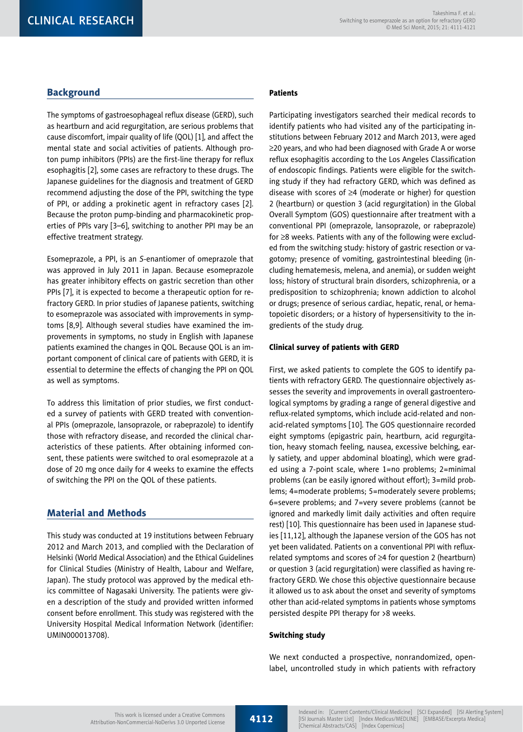# **Background**

The symptoms of gastroesophageal reflux disease (GERD), such as heartburn and acid regurgitation, are serious problems that cause discomfort, impair quality of life (QOL) [1], and affect the mental state and social activities of patients. Although proton pump inhibitors (PPIs) are the first-line therapy for reflux esophagitis [2], some cases are refractory to these drugs. The Japanese guidelines for the diagnosis and treatment of GERD recommend adjusting the dose of the PPI, switching the type of PPI, or adding a prokinetic agent in refractory cases [2]. Because the proton pump-binding and pharmacokinetic properties of PPIs vary [3–6], switching to another PPI may be an effective treatment strategy.

Esomeprazole, a PPI, is an *S*-enantiomer of omeprazole that was approved in July 2011 in Japan. Because esomeprazole has greater inhibitory effects on gastric secretion than other PPIs [7], it is expected to become a therapeutic option for refractory GERD. In prior studies of Japanese patients, switching to esomeprazole was associated with improvements in symptoms [8,9]. Although several studies have examined the improvements in symptoms, no study in English with Japanese patients examined the changes in QOL. Because QOL is an important component of clinical care of patients with GERD, it is essential to determine the effects of changing the PPI on QOL as well as symptoms.

To address this limitation of prior studies, we first conducted a survey of patients with GERD treated with conventional PPIs (omeprazole, lansoprazole, or rabeprazole) to identify those with refractory disease, and recorded the clinical characteristics of these patients. After obtaining informed consent, these patients were switched to oral esomeprazole at a dose of 20 mg once daily for 4 weeks to examine the effects of switching the PPI on the QOL of these patients.

# Material and Methods

This study was conducted at 19 institutions between February 2012 and March 2013, and complied with the Declaration of Helsinki (World Medical Association) and the Ethical Guidelines for Clinical Studies (Ministry of Health, Labour and Welfare, Japan). The study protocol was approved by the medical ethics committee of Nagasaki University. The patients were given a description of the study and provided written informed consent before enrollment. This study was registered with the University Hospital Medical Information Network (identifier: UMIN000013708).

## **Patients**

Participating investigators searched their medical records to identify patients who had visited any of the participating institutions between February 2012 and March 2013, were aged  $\geq$ 20 years, and who had been diagnosed with Grade A or worse reflux esophagitis according to the Los Angeles Classification of endoscopic findings. Patients were eligible for the switching study if they had refractory GERD, which was defined as disease with scores of  $\geq 4$  (moderate or higher) for question 2 (heartburn) or question 3 (acid regurgitation) in the Global Overall Symptom (GOS) questionnaire after treatment with a conventional PPI (omeprazole, lansoprazole, or rabeprazole) for  $\geq$ 8 weeks. Patients with any of the following were excluded from the switching study: history of gastric resection or vagotomy; presence of vomiting, gastrointestinal bleeding (including hematemesis, melena, and anemia), or sudden weight loss; history of structural brain disorders, schizophrenia, or a predisposition to schizophrenia; known addiction to alcohol or drugs; presence of serious cardiac, hepatic, renal, or hematopoietic disorders; or a history of hypersensitivity to the ingredients of the study drug.

## Clinical survey of patients with GERD

First, we asked patients to complete the GOS to identify patients with refractory GERD. The questionnaire objectively assesses the severity and improvements in overall gastroenterological symptoms by grading a range of general digestive and reflux-related symptoms, which include acid-related and nonacid-related symptoms [10]. The GOS questionnaire recorded eight symptoms (epigastric pain, heartburn, acid regurgitation, heavy stomach feeling, nausea, excessive belching, early satiety, and upper abdominal bloating), which were graded using a 7-point scale, where 1=no problems; 2=minimal problems (can be easily ignored without effort); 3=mild problems; 4=moderate problems; 5=moderately severe problems; 6=severe problems; and 7=very severe problems (cannot be ignored and markedly limit daily activities and often require rest) [10]. This questionnaire has been used in Japanese studies [11,12], although the Japanese version of the GOS has not yet been validated. Patients on a conventional PPI with refluxrelated symptoms and scores of  $\geq 4$  for question 2 (heartburn) or question 3 (acid regurgitation) were classified as having refractory GERD. We chose this objective questionnaire because it allowed us to ask about the onset and severity of symptoms other than acid-related symptoms in patients whose symptoms persisted despite PPI therapy for >8 weeks.

#### Switching study

We next conducted a prospective, nonrandomized, openlabel, uncontrolled study in which patients with refractory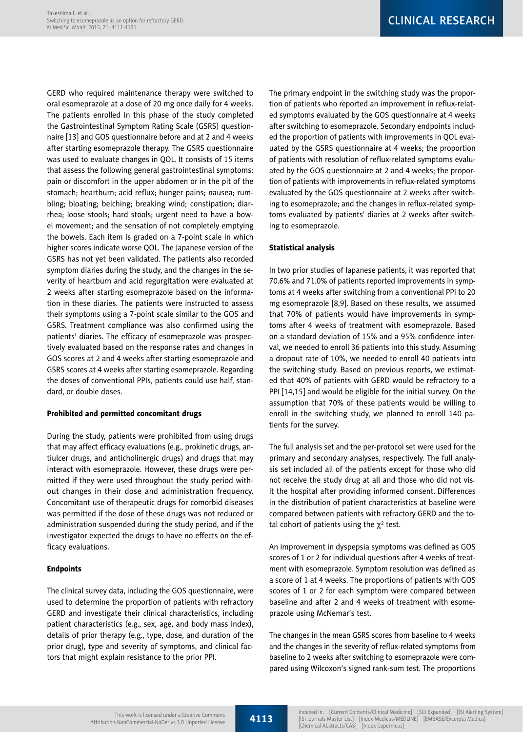CLINICAL RESEARCH

GERD who required maintenance therapy were switched to oral esomeprazole at a dose of 20 mg once daily for 4 weeks. The patients enrolled in this phase of the study completed the Gastrointestinal Symptom Rating Scale (GSRS) questionnaire [13] and GOS questionnaire before and at 2 and 4 weeks after starting esomeprazole therapy. The GSRS questionnaire was used to evaluate changes in QOL. It consists of 15 items that assess the following general gastrointestinal symptoms: pain or discomfort in the upper abdomen or in the pit of the stomach; heartburn; acid reflux; hunger pains; nausea; rumbling; bloating; belching; breaking wind; constipation; diarrhea; loose stools; hard stools; urgent need to have a bowel movement; and the sensation of not completely emptying the bowels. Each item is graded on a 7-point scale in which higher scores indicate worse QOL. The Japanese version of the GSRS has not yet been validated. The patients also recorded symptom diaries during the study, and the changes in the severity of heartburn and acid regurgitation were evaluated at 2 weeks after starting esomeprazole based on the information in these diaries. The patients were instructed to assess their symptoms using a 7-point scale similar to the GOS and GSRS. Treatment compliance was also confirmed using the patients' diaries. The efficacy of esomeprazole was prospectively evaluated based on the response rates and changes in GOS scores at 2 and 4 weeks after starting esomeprazole and GSRS scores at 4 weeks after starting esomeprazole. Regarding the doses of conventional PPIs, patients could use half, standard, or double doses.

## Prohibited and permitted concomitant drugs

During the study, patients were prohibited from using drugs that may affect efficacy evaluations (e.g., prokinetic drugs, antiulcer drugs, and anticholinergic drugs) and drugs that may interact with esomeprazole. However, these drugs were permitted if they were used throughout the study period without changes in their dose and administration frequency. Concomitant use of therapeutic drugs for comorbid diseases was permitted if the dose of these drugs was not reduced or administration suspended during the study period, and if the investigator expected the drugs to have no effects on the efficacy evaluations.

## Endpoints

The clinical survey data, including the GOS questionnaire, were used to determine the proportion of patients with refractory GERD and investigate their clinical characteristics, including patient characteristics (e.g., sex, age, and body mass index), details of prior therapy (e.g., type, dose, and duration of the prior drug), type and severity of symptoms, and clinical factors that might explain resistance to the prior PPI.

The primary endpoint in the switching study was the proportion of patients who reported an improvement in reflux-related symptoms evaluated by the GOS questionnaire at 4 weeks after switching to esomeprazole. Secondary endpoints included the proportion of patients with improvements in QOL evaluated by the GSRS questionnaire at 4 weeks; the proportion of patients with resolution of reflux-related symptoms evaluated by the GOS questionnaire at 2 and 4 weeks; the proportion of patients with improvements in reflux-related symptoms evaluated by the GOS questionnaire at 2 weeks after switching to esomeprazole; and the changes in reflux-related symptoms evaluated by patients' diaries at 2 weeks after switching to esomeprazole.

# Statistical analysis

In two prior studies of Japanese patients, it was reported that 70.6% and 71.0% of patients reported improvements in symptoms at 4 weeks after switching from a conventional PPI to 20 mg esomeprazole [8,9]. Based on these results, we assumed that 70% of patients would have improvements in symptoms after 4 weeks of treatment with esomeprazole. Based on a standard deviation of 15% and a 95% confidence interval, we needed to enroll 36 patients into this study. Assuming a dropout rate of 10%, we needed to enroll 40 patients into the switching study. Based on previous reports, we estimated that 40% of patients with GERD would be refractory to a PPI [14,15] and would be eligible for the initial survey. On the assumption that 70% of these patients would be willing to enroll in the switching study, we planned to enroll 140 patients for the survey.

The full analysis set and the per-protocol set were used for the primary and secondary analyses, respectively. The full analysis set included all of the patients except for those who did not receive the study drug at all and those who did not visit the hospital after providing informed consent. Differences in the distribution of patient characteristics at baseline were compared between patients with refractory GERD and the total cohort of patients using the  $\chi^2$  test.

An improvement in dyspepsia symptoms was defined as GOS scores of 1 or 2 for individual questions after 4 weeks of treatment with esomeprazole. Symptom resolution was defined as a score of 1 at 4 weeks. The proportions of patients with GOS scores of 1 or 2 for each symptom were compared between baseline and after 2 and 4 weeks of treatment with esomeprazole using McNemar's test.

The changes in the mean GSRS scores from baseline to 4 weeks and the changes in the severity of reflux-related symptoms from baseline to 2 weeks after switching to esomeprazole were compared using Wilcoxon's signed rank-sum test. The proportions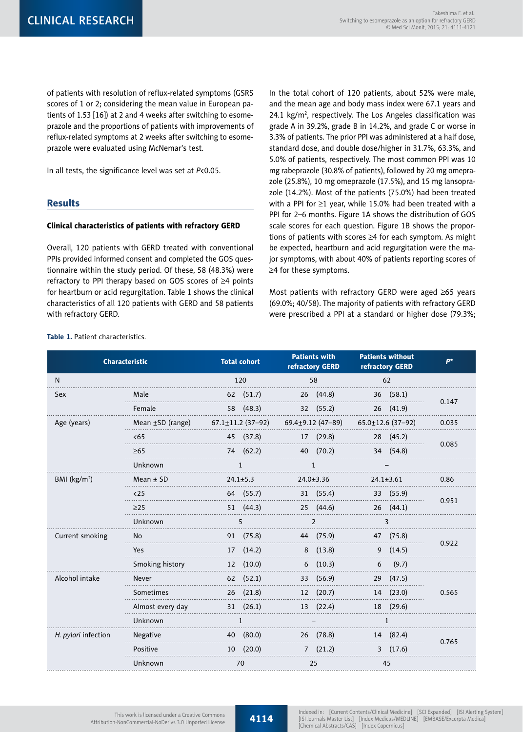of patients with resolution of reflux-related symptoms (GSRS scores of 1 or 2; considering the mean value in European patients of 1.53 [16]) at 2 and 4 weeks after switching to esomeprazole and the proportions of patients with improvements of reflux-related symptoms at 2 weeks after switching to esomeprazole were evaluated using McNemar's test.

In all tests, the significance level was set at *P*<0.05.

# Results

**Table 1.** Patient characteristics.

#### Clinical characteristics of patients with refractory GERD

Overall, 120 patients with GERD treated with conventional PPIs provided informed consent and completed the GOS questionnaire within the study period. Of these, 58 (48.3%) were refractory to PPI therapy based on GOS scores of  $\geq 4$  points for heartburn or acid regurgitation. Table 1 shows the clinical characteristics of all 120 patients with GERD and 58 patients with refractory GERD.

In the total cohort of 120 patients, about 52% were male, and the mean age and body mass index were 67.1 years and 24.1  $\text{kg/m}^2$ , respectively. The Los Angeles classification was grade A in 39.2%, grade B in 14.2%, and grade C or worse in 3.3% of patients. The prior PPI was administered at a half dose, standard dose, and double dose/higher in 31.7%, 63.3%, and 5.0% of patients, respectively. The most common PPI was 10 mg rabeprazole (30.8% of patients), followed by 20 mg omeprazole (25.8%), 10 mg omeprazole (17.5%), and 15 mg lansoprazole (14.2%). Most of the patients (75.0%) had been treated with a PPI for  $\geq$ 1 year, while 15.0% had been treated with a PPI for 2–6 months. Figure 1A shows the distribution of GOS scale scores for each question. Figure 1B shows the proportions of patients with scores  $\geq 4$  for each symptom. As might be expected, heartburn and acid regurgitation were the major symptoms, with about 40% of patients reporting scores of  $\geq$ 4 for these symptoms.

Most patients with refractory GERD were aged  $\geq 65$  years (69.0%; 40/58). The majority of patients with refractory GERD were prescribed a PPI at a standard or higher dose (79.3%;

| <b>Characteristic</b> |                  | <b>Total cohort</b>     | <b>Patients with</b><br>refractory GERD | <b>Patients without</b><br>refractory GERD | <b>D*</b> |  |
|-----------------------|------------------|-------------------------|-----------------------------------------|--------------------------------------------|-----------|--|
| N                     |                  | 120                     | 58                                      | 62                                         |           |  |
| <b>Sex</b>            | Male             | 62 (51.7)               | 26 (44.8)                               | 36(58.1)                                   | 0.147     |  |
|                       | Female           | 58 (48.3)               | 32 (55.2)                               | 26 (41.9)                                  |           |  |
| Age (years)           | Mean ±SD (range) | $67.1 \pm 11.2$ (37-92) | $69.4 \pm 9.12$ (47-89)                 | $65.0 \pm 12.6$ (37-92)                    | 0.035     |  |
|                       | <65              | 45 (37.8)               | 17 (29.8)                               | 28 (45.2)                                  | 0.085     |  |
|                       | $\geq 65$        | 74 (62.2)               | 40 (70.2)                               | 34 (54.8)                                  |           |  |
|                       | Unknown          |                         | $\mathbf{1}$                            |                                            |           |  |
| BMI $(kg/m2)$         | Mean $±$ SD      | $24.1 \pm 5.3$          | $24.0 \pm 3.36$                         | $24.1 \pm 3.61$                            | 0.86      |  |
|                       | $25$             | 64 (55.7)               | 31 (55.4)                               | 33 (55.9)                                  | 0.951     |  |
|                       | $\geq$ 25        | 51(44.3)                | 25 (44.6)                               | 26(44.1)                                   |           |  |
|                       | Unknown          | 5                       | 2                                       | 3                                          |           |  |
| Current smoking       | No               | 91 (75.8)               | 44 (75.9)                               | 47 (75.8)                                  | 0.922     |  |
|                       | <b>Yes</b>       | 17(14.2)                | 8(13.8)                                 | 9(14.5)                                    |           |  |
|                       | Smoking history  | (10.0)<br>12            | 6(10.3)                                 | (9.7)<br>6                                 |           |  |
| Alcohol intake        | Never            | 62(52.1)                | (56.9)<br>33                            | 29 (47.5)                                  |           |  |
|                       | Sometimes        | $26$ $(21.8)$           | 12 (20.7)                               | 14 (23.0)                                  | 0.565     |  |
|                       | Almost every day | 31(26.1)                | 13 (22.4)                               | 18 (29.6)                                  |           |  |
|                       | Unknown          | $\mathbf{1}$            |                                         | $\mathbf{1}$                               |           |  |
| H. pylori infection   | Negative         | 40 (80.0)               | 26 (78.8)                               | 14 (82.4)                                  |           |  |
|                       | Positive         | 10(20.0)                | 7(21.2)                                 | 3(17.6)                                    | 0.765     |  |
|                       | Unknown          | 70                      | 25                                      | 45                                         |           |  |

This work is licensed under a Creative Commons Attribution-NonCommercial-NoDerivs 3.0 Unported License

4114

Indexed in: [Current Contents/Clinical Medicine] [SCI Expanded] [ISI Alerting System] [ISI Journals Master List] [Index Medicus/MEDLINE] [EMBASE/Excerpta Medica] [Chemical Abstracts/CAS] [Index Copernicus]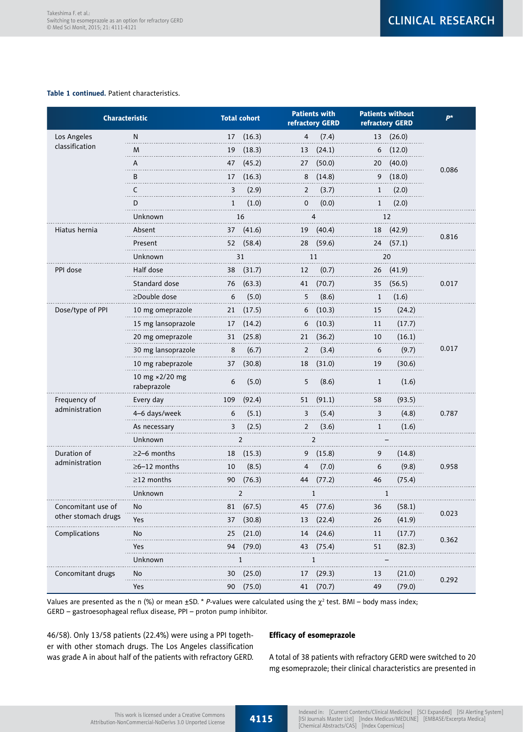#### **Table 1 continued.** Patient characteristics.

| <b>Characteristic</b> |                               |                 | <b>Total cohort</b> |             | <b>Patients with</b><br>refractory GERD |              | <b>Patients without</b><br>refractory GERD | $P^*$ |  |
|-----------------------|-------------------------------|-----------------|---------------------|-------------|-----------------------------------------|--------------|--------------------------------------------|-------|--|
| Los Angeles           | N                             | 17              | (16.3)              | 4           | (7.4)                                   |              | 13 (26.0)                                  |       |  |
| classification        | M                             | 19              | (18.3)              | 13          | (24.1)                                  | 6            | (12.0)                                     |       |  |
|                       | Α                             | 47              | (45.2)              | 27          | (50.0)                                  | 20           | (40.0)                                     |       |  |
|                       | B                             | 17              | (16.3)              | 8           | (14.8)                                  | 9            | (18.0)                                     | 0.086 |  |
|                       | C                             | 3               | (2.9)               | 2           | (3.7)                                   | $\mathbf{1}$ | (2.0)                                      |       |  |
|                       | D                             | $\mathbf{1}$    | (1.0)               | $\mathbf 0$ | (0.0)                                   | $\mathbf{1}$ | (2.0)                                      |       |  |
|                       | Unknown                       |                 | 16                  |             | 4                                       |              | 12                                         |       |  |
| Hiatus hernia         | Absent                        | 37              | (41.6)              | 19          | (40.4)                                  | 18           | (42.9)                                     |       |  |
|                       | Present                       | 52              | (58.4)              | 28          | (59.6)                                  | 24           | (57.1)                                     | 0.816 |  |
|                       | Unknown                       |                 | 31                  |             | 11                                      |              | 20                                         |       |  |
| PPI dose              | Half dose                     | 38              | (31.7)              | 12          | (0.7)                                   | 26           | (41.9)                                     |       |  |
|                       | Standard dose                 | 76              | (63.3)              | 41          | (70.7)                                  | 35           | (56.5)                                     | 0.017 |  |
|                       | ≥Double dose                  | 6               | (5.0)               | 5           | (8.6)                                   | $\mathbf{1}$ | (1.6)                                      |       |  |
| Dose/type of PPI      | 10 mg omeprazole              | 21              | (17.5)              | 6           | (10.3)                                  | 15           | (24.2)                                     |       |  |
|                       | 15 mg lansoprazole            | 17              | (14.2)              | 6           | (10.3)                                  | 11           | (17.7)                                     |       |  |
|                       | 20 mg omeprazole              | 31              | (25.8)              | 21          | (36.2)                                  | 10           | (16.1)                                     | 0.017 |  |
|                       | 30 mg lansoprazole            | 8               | (6.7)               | 2           | (3.4)                                   | 6            | (9.7)                                      |       |  |
|                       | 10 mg rabeprazole             | 37              | (30.8)              | 18          | (31.0)                                  | 19           | (30.6)                                     |       |  |
|                       | 10 mg ×2/20 mg<br>rabeprazole | 6               | (5.0)               | 5           | (8.6)                                   | $\mathbf{1}$ | (1.6)                                      |       |  |
| Frequency of          | Every day                     | 109             | (92.4)              | 51          | (91.1)                                  | 58           | (93.5)                                     |       |  |
| administration        | 4-6 days/week                 | 6               | (5.1)               | 3           | (5.4)                                   | 3            | (4.8)                                      | 0.787 |  |
|                       | As necessary                  | 3               | (2.5)               | 2           | (3.6)                                   | 1            | (1.6)                                      |       |  |
|                       | Unknown                       |                 | $\overline{2}$      |             | $\overline{2}$                          |              |                                            |       |  |
| Duration of           | ≥2–6 months                   | 18              | (15.3)              | 9           | (15.8)                                  | 9            | (14.8)                                     |       |  |
| administration        | ≥6–12 months                  | 10              | (8.5)               | 4           | (7.0)                                   | 6            | (9.8)                                      | 0.958 |  |
|                       | ≥12 months                    | 90              | (76.3)              | 44          | (77.2)                                  | 46           | (75.4)                                     |       |  |
|                       | Unknown                       |                 | 2                   |             | $\mathbf{1}$                            |              | 1                                          |       |  |
| Concomitant use of    | No                            | 81              | (67.5)              | 45          | (77.6)                                  | 36           | (58.1)                                     | 0.023 |  |
| other stomach drugs   | Yes                           |                 | 37 (30.8)           |             | 13 (22.4)                               | 26           | (41.9)                                     |       |  |
| Complications         | No                            | 25              | (21.0)              |             | 14 (24.6)                               | 11           | (17.7)                                     | 0.362 |  |
|                       | Yes                           | 94              | (79.0)              | 43          | (75.4)                                  | 51           | (82.3)                                     |       |  |
|                       | Unknown                       |                 | 1                   |             | 1                                       |              |                                            |       |  |
| Concomitant drugs     | No                            | 30 <sub>2</sub> | (25.0)              | 17          | (29.3)                                  | 13           | (21.0)                                     |       |  |
|                       | Yes                           | 90              | (75.0)              | 41          | (70.7)                                  | 49           | (79.0)                                     | 0.292 |  |

Values are presented as the n (%) or mean ±SD. \* *P*-values were calculated using the  $\chi^2$  test. BMI – body mass index; GERD – gastroesophageal reflux disease, PPI – proton pump inhibitor.

46/58). Only 13/58 patients (22.4%) were using a PPI together with other stomach drugs. The Los Angeles classification was grade A in about half of the patients with refractory GERD.

# Efficacy of esomeprazole

A total of 38 patients with refractory GERD were switched to 20 mg esomeprazole; their clinical characteristics are presented in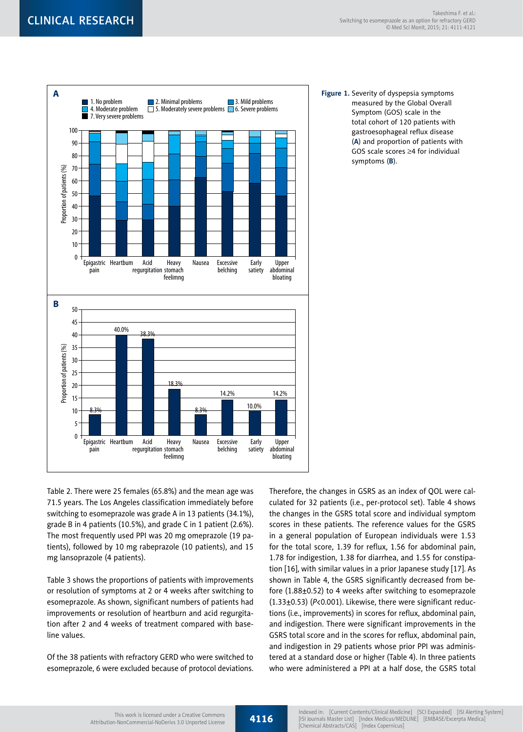

**Figure 1.** Severity of dyspepsia symptoms measured by the Global Overall Symptom (GOS) scale in the total cohort of 120 patients with gastroesophageal reflux disease (**A**) and proportion of patients with GOS scale scores  $\geq$ 4 for individual symptoms (**B**).

Table 2. There were 25 females (65.8%) and the mean age was 71.5 years. The Los Angeles classification immediately before switching to esomeprazole was grade A in 13 patients (34.1%), grade B in 4 patients (10.5%), and grade C in 1 patient (2.6%). The most frequently used PPI was 20 mg omeprazole (19 patients), followed by 10 mg rabeprazole (10 patients), and 15 mg lansoprazole (4 patients).

Table 3 shows the proportions of patients with improvements or resolution of symptoms at 2 or 4 weeks after switching to esomeprazole. As shown, significant numbers of patients had improvements or resolution of heartburn and acid regurgitation after 2 and 4 weeks of treatment compared with baseline values.

Of the 38 patients with refractory GERD who were switched to esomeprazole, 6 were excluded because of protocol deviations. Therefore, the changes in GSRS as an index of QOL were calculated for 32 patients (i.e., per-protocol set). Table 4 shows the changes in the GSRS total score and individual symptom scores in these patients. The reference values for the GSRS in a general population of European individuals were 1.53 for the total score, 1.39 for reflux, 1.56 for abdominal pain, 1.78 for indigestion, 1.38 for diarrhea, and 1.55 for constipation [16], with similar values in a prior Japanese study [17]. As shown in Table 4, the GSRS significantly decreased from before (1.88±0.52) to 4 weeks after switching to esomeprazole (1.33±0.53) (*P*<0.001). Likewise, there were significant reductions (i.e., improvements) in scores for reflux, abdominal pain, and indigestion. There were significant improvements in the GSRS total score and in the scores for reflux, abdominal pain, and indigestion in 29 patients whose prior PPI was administered at a standard dose or higher (Table 4). In three patients who were administered a PPI at a half dose, the GSRS total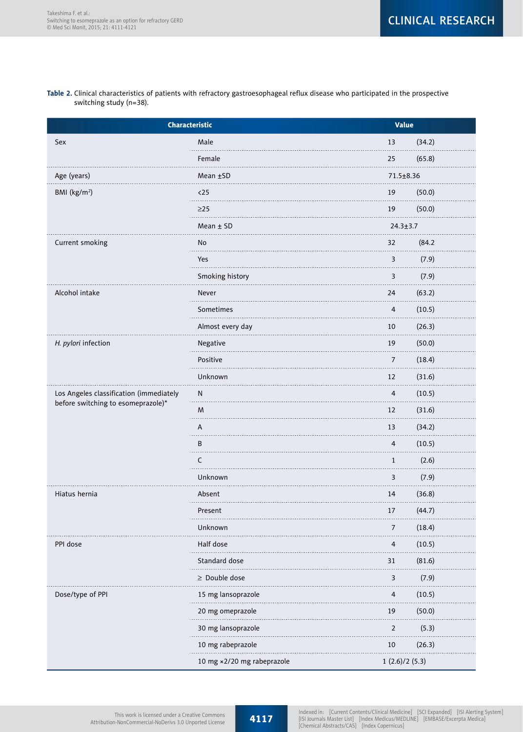#### **Table 2.** Clinical characteristics of patients with refractory gastroesophageal reflux disease who participated in the prospective switching study (n=38).

| Characteristic                          | <b>Value</b>               |                         |
|-----------------------------------------|----------------------------|-------------------------|
| Sex                                     | Male                       | (34.2)<br>13            |
|                                         | Female                     | (65.8)<br>25            |
| Age (years)                             | Mean ±SD                   | 71.5±8.36               |
| BMI (kg/m <sup>2</sup> )                | $25$<br>$- - - -$          | (50.0)<br>19            |
|                                         | $\geq$ 25                  | (50.0)<br>19            |
|                                         | Mean $±$ SD                | $24.3 \pm 3.7$          |
| Current smoking                         | No                         | (84.2)<br>32            |
|                                         | Yes                        | 3<br>(7.9)              |
|                                         | Smoking history            | 3<br>(7.9)              |
| Alcohol intake                          | Never                      | (63.2)<br>24            |
|                                         | Sometimes                  | (10.5)<br>4             |
|                                         | Almost every day           | 10<br>(26.3)            |
| H. pylori infection                     | Negative                   | (50.0)<br>19            |
|                                         | Positive                   | (18.4)<br>7             |
|                                         | Unknown                    | (31.6)<br>12            |
| Los Angeles classification (immediately | N                          | (10.5)<br>4             |
| before switching to esomeprazole)*      | M<br>.                     | (31.6)<br>12            |
|                                         | A                          | 13<br>(34.2)            |
|                                         | B<br>.                     | 4<br>(10.5)             |
|                                         | C                          | $\mathbf{1}$<br>(2.6)   |
|                                         | Unknown                    | 3<br>(7.9)              |
| Hiatus hernia                           | Absent                     | 14<br>(36.8)            |
|                                         | Present                    | (44.7)<br>17            |
|                                         | Unknown                    | (18.4)<br>7             |
| PPI dose                                | Half dose                  | (10.5)<br>4             |
|                                         | Standard dose              | (81.6)<br>31            |
|                                         | $\geq$ Double dose         | 3<br>(7.9)              |
| Dose/type of PPI                        | 15 mg lansoprazole         | (10.5)<br>4             |
|                                         | 20 mg omeprazole           | 19<br>(50.0)            |
|                                         | 30 mg lansoprazole         | $\overline{2}$<br>(5.3) |
|                                         | 10 mg rabeprazole          | (26.3)<br>10            |
|                                         | 10 mg ×2/20 mg rabeprazole | 1(2.6)/2(5.3)           |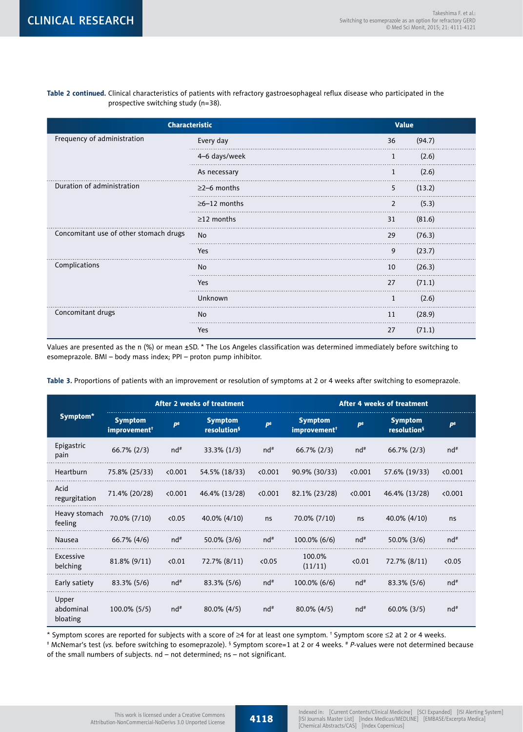**Table 2 continued.** Clinical characteristics of patients with refractory gastroesophageal reflux disease who participated in the prospective switching study (n=38).

| <b>Characteristic</b>                  | <b>Value</b>         |                |        |
|----------------------------------------|----------------------|----------------|--------|
| Frequency of administration            | Every day            | 36             | (94.7) |
|                                        | 4-6 days/week        | 1              | (2.6)  |
|                                        | As necessary         | 1              | (2.6)  |
| Duration of administration             | $\geq$ 2-6 months    | 5              | (13.2) |
|                                        | $\geq 6 - 12$ months | $\overline{2}$ | (5.3)  |
|                                        | $\geq$ 12 months     | 31             | (81.6) |
| Concomitant use of other stomach drugs | No                   | 29             | (76.3) |
|                                        | Yes                  | 9              | (23.7) |
| Complications                          | No                   | 10             | (26.3) |
|                                        | Yes                  | 27             | (71.1) |
|                                        | Unknown              | 1              | (2.6)  |
| Concomitant drugs                      | No                   | 11             | (28.9) |
|                                        | Yes                  | 27             | (71.1) |

Values are presented as the n (%) or mean ±SD. \* The Los Angeles classification was determined immediately before switching to esomeprazole. BMI – body mass index; PPI – proton pump inhibitor.

**Table 3.** Proportions of patients with an improvement or resolution of symptoms at 2 or 4 weeks after switching to esomeprazole.

|                                | <b>After 2 weeks of treatment</b>          |                |                                           |                       | <b>After 4 weeks of treatment</b>          |                       |                                           |                |
|--------------------------------|--------------------------------------------|----------------|-------------------------------------------|-----------------------|--------------------------------------------|-----------------------|-------------------------------------------|----------------|
| Symptom*                       | <b>Symptom</b><br>improvement <sup>†</sup> | $P^{\ddagger}$ | <b>Symptom</b><br>resolution <sup>§</sup> | <b>p</b> <sup>#</sup> | <b>Symptom</b><br>improvement <sup>†</sup> | <b>p</b> <sup>#</sup> | <b>Symptom</b><br>resolution <sup>§</sup> | $P^{\ddagger}$ |
| Epigastric<br>pain             | $66.7\%$ (2/3)                             | $nd^*$         | 33.3% (1/3)                               | $nd^*$                | $66.7\%$ (2/3)                             | $nd^*$                | $66.7\%$ (2/3)                            | nd#            |
| Heartburn                      | 75.8% (25/33)                              | < 0.001        | 54.5% (18/33)                             | < 0.001               | 90.9% (30/33)                              | < 0.001               | 57.6% (19/33)                             | < 0.001        |
| Acid<br>regurgitation          | 71.4% (20/28)                              | < 0.001        | 46.4% (13/28)                             | < 0.001               | 82.1% (23/28)                              | < 0.001               | 46.4% (13/28)                             | < 0.001        |
| Heavy stomach<br>feeling       | 70.0% (7/10)                               | <0.05          | 40.0% (4/10)                              | ns                    | 70.0% (7/10)                               | ns                    | 40.0% (4/10)                              | ns             |
| <b>Nausea</b>                  | 66.7% (4/6)                                | $nd^*$         | 50.0% (3/6)                               | $nd^*$                | 100.0% (6/6)                               | $nd^*$                | 50.0% (3/6)                               | $nd^*$         |
| Excessive<br>belching          | 81.8% (9/11)                               | < 0.01         | 72.7% (8/11)                              | <0.05                 | 100.0%<br>(11/11)                          | < 0.01                | 72.7% (8/11)                              | <0.05          |
| Early satiety                  | 83.3% (5/6)                                | $nd^*$         | 83.3% (5/6)                               | $nd^*$                | 100.0% (6/6)                               | nd#                   | 83.3% (5/6)                               | $nd^*$         |
| Upper<br>abdominal<br>bloating | 100.0% (5/5)                               | nd#            | 80.0% (4/5)                               | nd#                   | 80.0% (4/5)                                | nd#                   | $60.0\%$ (3/5)                            | nd#            |

\* Symptom scores are reported for subjects with a score of  $\geq$ 4 for at least one symptom. † Symptom score  $\leq$ 2 at 2 or 4 weeks.

‡ McNemar's test (*vs.* before switching to esomeprazole). § Symptom score=1 at 2 or 4 weeks. # *P*-values were not determined because of the small numbers of subjects. nd – not determined; ns – not significant.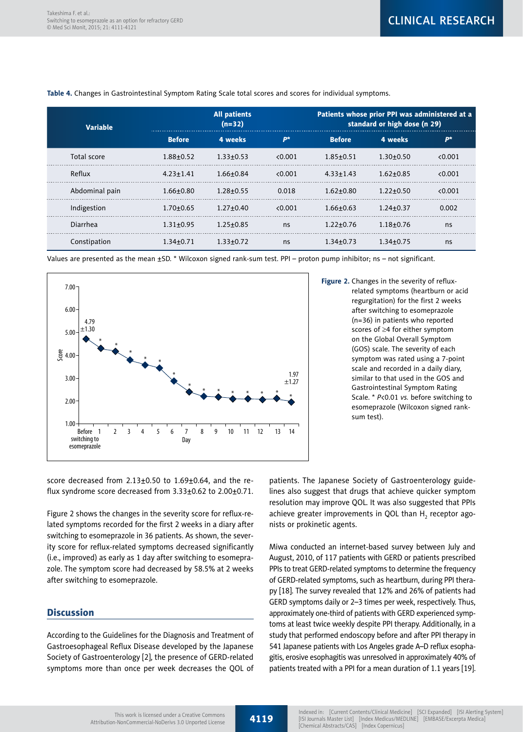| <b>Variable</b> |                 | <b>All patients</b><br>$(n=32)$ |         | Patients whose prior PPI was administered at a<br>standard or high dose (n 29) |                 |         |  |
|-----------------|-----------------|---------------------------------|---------|--------------------------------------------------------------------------------|-----------------|---------|--|
|                 | <b>Before</b>   | 4 weeks                         | $P^*$   | <b>Before</b>                                                                  | 4 weeks         | $P^*$   |  |
| Total score     | $1.88 + 0.52$   | $1.33 \pm 0.53$                 | < 0.001 | $1.85 + 0.51$                                                                  | $1.30 + 0.50$   | < 0.001 |  |
| Reflux          | $4.23 \pm 1.41$ | $1.66 + 0.84$                   | < 0.001 | $4.33 \pm 1.43$                                                                | $1.62 + 0.85$   | 0.001   |  |
| Abdominal pain  | $1.66 + 0.80$   | $1.28 + 0.55$                   | 0.018   | $1.62 + 0.80$                                                                  | $1.22 + 0.50$   | 0.001   |  |
| Indigestion     | $1.70 + 0.65$   | $1.27 + 0.40$                   | < 0.001 | $1.66 + 0.63$                                                                  | $1.24 \pm 0.37$ | 0.002   |  |
| Diarrhea        | $1.31 + 0.95$   | $1.25 + 0.85$                   | ns      | $1.22 + 0.76$                                                                  | $1.18 + 0.76$   | ns      |  |
| Constipation    | 1.34+0.71       | $1.33 + 0.72$                   | ns      | $1.34 + 0.73$                                                                  | $1.34 + 0.75$   | ns      |  |

**Table 4.** Changes in Gastrointestinal Symptom Rating Scale total scores and scores for individual symptoms.

Values are presented as the mean ±SD. \* Wilcoxon signed rank-sum test. PPI – proton pump inhibitor; ns – not significant.



**Figure 2.** Changes in the severity of refluxrelated symptoms (heartburn or acid regurgitation) for the first 2 weeks after switching to esomeprazole (n=36) in patients who reported scores of ≥4 for either symptom on the Global Overall Symptom (GOS) scale. The severity of each symptom was rated using a 7-point scale and recorded in a daily diary, similar to that used in the GOS and Gastrointestinal Symptom Rating Scale. \* *P*<0.01 *vs.* before switching to esomeprazole (Wilcoxon signed ranksum test).

score decreased from  $2.13\pm0.50$  to  $1.69\pm0.64$ , and the reflux syndrome score decreased from 3.33±0.62 to 2.00±0.71.

Figure 2 shows the changes in the severity score for reflux-related symptoms recorded for the first 2 weeks in a diary after switching to esomeprazole in 36 patients. As shown, the severity score for reflux-related symptoms decreased significantly (i.e., improved) as early as 1 day after switching to esomeprazole. The symptom score had decreased by 58.5% at 2 weeks after switching to esomeprazole.

# **Discussion**

According to the Guidelines for the Diagnosis and Treatment of Gastroesophageal Reflux Disease developed by the Japanese Society of Gastroenterology [2], the presence of GERD-related symptoms more than once per week decreases the QOL of patients. The Japanese Society of Gastroenterology guidelines also suggest that drugs that achieve quicker symptom resolution may improve QOL. It was also suggested that PPIs achieve greater improvements in QOL than  ${\sf H}_{_2}$  receptor agonists or prokinetic agents.

Miwa conducted an internet-based survey between July and August, 2010, of 117 patients with GERD or patients prescribed PPIs to treat GERD-related symptoms to determine the frequency of GERD-related symptoms, such as heartburn, during PPI therapy [18]. The survey revealed that 12% and 26% of patients had GERD symptoms daily or 2–3 times per week, respectively. Thus, approximately one-third of patients with GERD experienced symptoms at least twice weekly despite PPI therapy. Additionally, in a study that performed endoscopy before and after PPI therapy in 541 Japanese patients with Los Angeles grade A–D reflux esophagitis, erosive esophagitis was unresolved in approximately 40% of patients treated with a PPI for a mean duration of 1.1 years [19].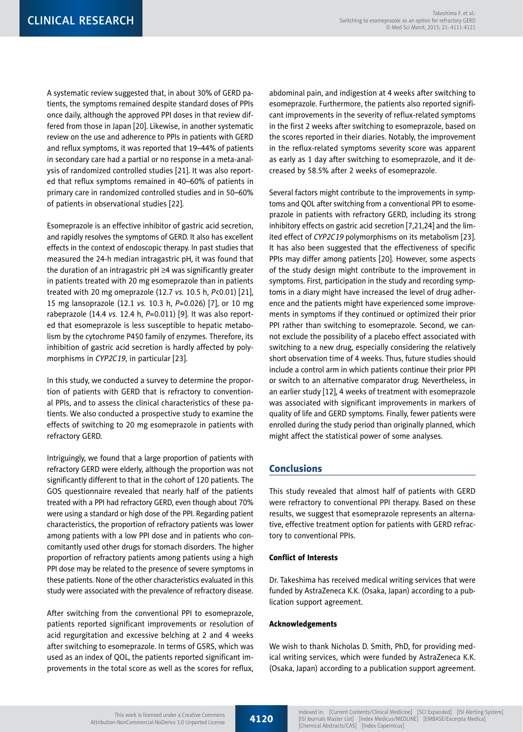A systematic review suggested that, in about 30% of GERD patients, the symptoms remained despite standard doses of PPIs once daily, although the approved PPI doses in that review differed from those in Japan [20]. Likewise, in another systematic review on the use and adherence to PPIs in patients with GERD and reflux symptoms, it was reported that 19–44% of patients in secondary care had a partial or no response in a meta-analysis of randomized controlled studies [21]. It was also reported that reflux symptoms remained in 40–60% of patients in primary care in randomized controlled studies and in 50–60% of patients in observational studies [22].

Esomeprazole is an effective inhibitor of gastric acid secretion, and rapidly resolves the symptoms of GERD. It also has excellent effects in the context of endoscopic therapy. In past studies that measured the 24-h median intragastric pH, it was found that the duration of an intragastric  $pH \geq 4$  was significantly greater in patients treated with 20 mg esomeprazole than in patients treated with 20 mg omeprazole (12.7 *vs.* 10.5 h, *P*<0.01) [21], 15 mg lansoprazole (12.1 *vs.* 10.3 h, *P*=0.026) [7], or 10 mg rabeprazole (14.4 *vs.* 12.4 h, *P*=0.011) [9]. It was also reported that esomeprazole is less susceptible to hepatic metabolism by the cytochrome P450 family of enzymes. Therefore, its inhibition of gastric acid secretion is hardly affected by polymorphisms in *CYP2C19*, in particular [23].

In this study, we conducted a survey to determine the proportion of patients with GERD that is refractory to conventional PPIs, and to assess the clinical characteristics of these patients. We also conducted a prospective study to examine the effects of switching to 20 mg esomeprazole in patients with refractory GERD.

Intriguingly, we found that a large proportion of patients with refractory GERD were elderly, although the proportion was not significantly different to that in the cohort of 120 patients. The GOS questionnaire revealed that nearly half of the patients treated with a PPI had refractory GERD, even though about 70% were using a standard or high dose of the PPI. Regarding patient characteristics, the proportion of refractory patients was lower among patients with a low PPI dose and in patients who concomitantly used other drugs for stomach disorders. The higher proportion of refractory patients among patients using a high PPI dose may be related to the presence of severe symptoms in these patients. None of the other characteristics evaluated in this study were associated with the prevalence of refractory disease.

After switching from the conventional PPI to esomeprazole, patients reported significant improvements or resolution of acid regurgitation and excessive belching at 2 and 4 weeks after switching to esomeprazole. In terms of GSRS, which was used as an index of QOL, the patients reported significant improvements in the total score as well as the scores for reflux,

abdominal pain, and indigestion at 4 weeks after switching to esomeprazole. Furthermore, the patients also reported significant improvements in the severity of reflux-related symptoms in the first 2 weeks after switching to esomeprazole, based on the scores reported in their diaries. Notably, the improvement in the reflux-related symptoms severity score was apparent as early as 1 day after switching to esomeprazole, and it decreased by 58.5% after 2 weeks of esomeprazole.

Several factors might contribute to the improvements in symptoms and QOL after switching from a conventional PPI to esomeprazole in patients with refractory GERD, including its strong inhibitory effects on gastric acid secretion [7,21,24] and the limited effect of *CYP2C19* polymorphisms on its metabolism [23]. It has also been suggested that the effectiveness of specific PPIs may differ among patients [20]. However, some aspects of the study design might contribute to the improvement in symptoms. First, participation in the study and recording symptoms in a diary might have increased the level of drug adherence and the patients might have experienced some improvements in symptoms if they continued or optimized their prior PPI rather than switching to esomeprazole. Second, we cannot exclude the possibility of a placebo effect associated with switching to a new drug, especially considering the relatively short observation time of 4 weeks. Thus, future studies should include a control arm in which patients continue their prior PPI or switch to an alternative comparator drug. Nevertheless, in an earlier study [12], 4 weeks of treatment with esomeprazole was associated with significant improvements in markers of quality of life and GERD symptoms. Finally, fewer patients were enrolled during the study period than originally planned, which might affect the statistical power of some analyses.

# Conclusions

This study revealed that almost half of patients with GERD were refractory to conventional PPI therapy. Based on these results, we suggest that esomeprazole represents an alternative, effective treatment option for patients with GERD refractory to conventional PPIs.

## Conflict of Interests

Dr. Takeshima has received medical writing services that were funded by AstraZeneca K.K. (Osaka, Japan) according to a publication support agreement.

#### Acknowledgements

We wish to thank Nicholas D. Smith, PhD, for providing medical writing services, which were funded by AstraZeneca K.K. (Osaka, Japan) according to a publication support agreement.